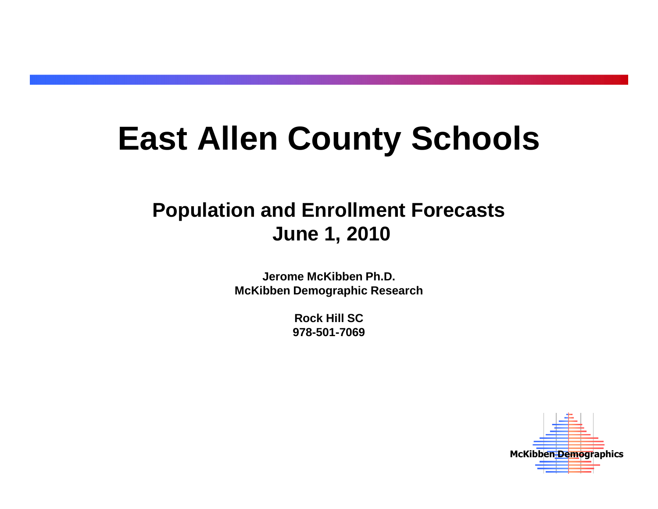# **East Allen County Schools**

# **Population and Enrollment ForecastsJune 1, 2010**

**Jerome McKibben Ph.D.McKibben Demographic Research**

> **Rock Hill SC978-501-7069**

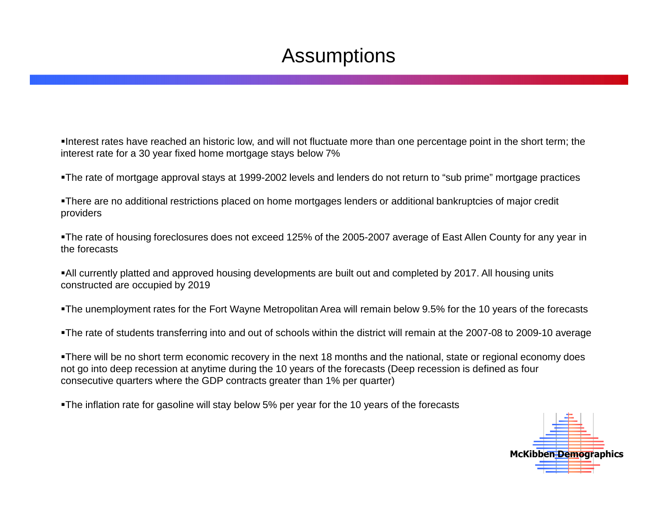# Assumptions

Interest rates have reached an historic low, and will not fluctuate more than one percentage point in the short term; the interest rate for a 30 year fixed home mortgage stays below 7%

The rate of mortgage approval stays at 1999-2002 levels and lenders do not return to "sub prime" mortgage practices

There are no additional restrictions placed on home mortgages lenders or additional bankruptcies of major creditproviders

The rate of housing foreclosures does not exceed 125% of the 2005-2007 average of East Allen County for any year in the forecasts

All currently platted and approved housing developments are built out and completed by 2017. All housing units constructed are occupied by 2019

The unemployment rates for the Fort Wayne Metropolitan Area will remain below 9.5% for the 10 years of the forecasts

The rate of students transferring into and out of schools within the district will remain at the 2007-08 to 2009-10 average

There will be no short term economic recovery in the next 18 months and the national, state or regional economy does not go into deep recession at anytime during the 10 years of the forecasts (Deep recession is defined as four consecutive quarters where the GDP contracts greater than 1% per quarter)

•The inflation rate for gasoline will stay below 5% per year for the 10 years of the forecasts

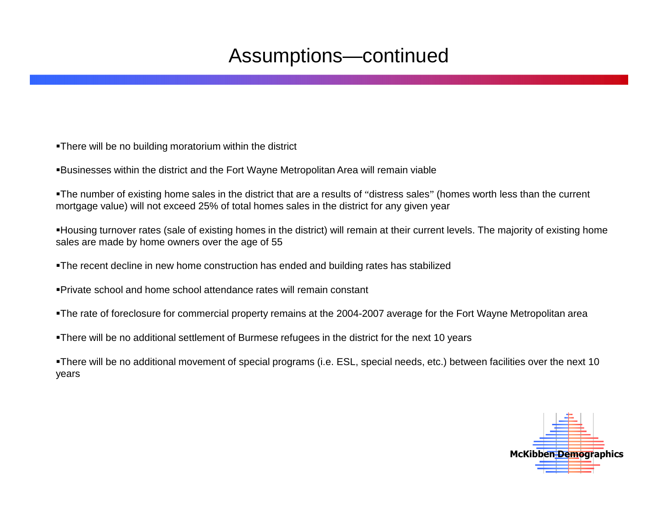# Assumptions—continued

There will be no building moratorium within the district

Businesses within the district and the Fort Wayne Metropolitan Area will remain viable

The number of existing home sales in the district that are a results of "distress sales" (homes worth less than the current mortgage value) will not exceed 25% of total homes sales in the district for any given year

Housing turnover rates (sale of existing homes in the district) will remain at their current levels. The majority of existing home sales are made by home owners over the age of 55

The recent decline in new home construction has ended and building rates has stabilized

Private school and home school attendance rates will remain constant

The rate of foreclosure for commercial property remains at the 2004-2007 average for the Fort Wayne Metropolitan area

There will be no additional settlement of Burmese refugees in the district for the next 10 years

There will be no additional movement of special programs (i.e. ESL, special needs, etc.) between facilities over the next 10 years

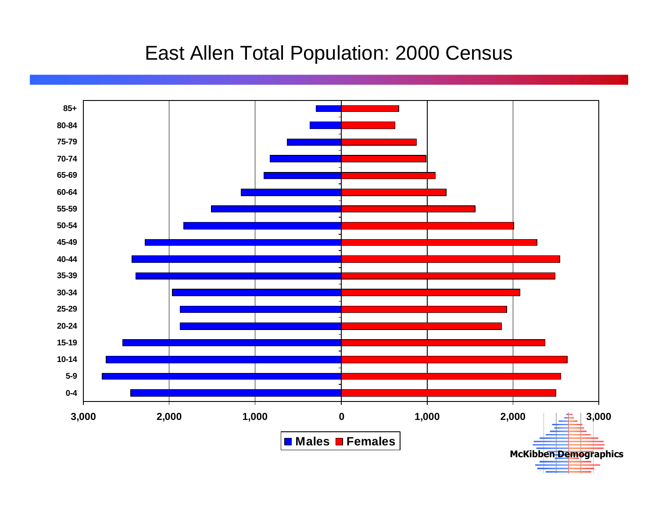#### East Allen Total Population: 2000 Census

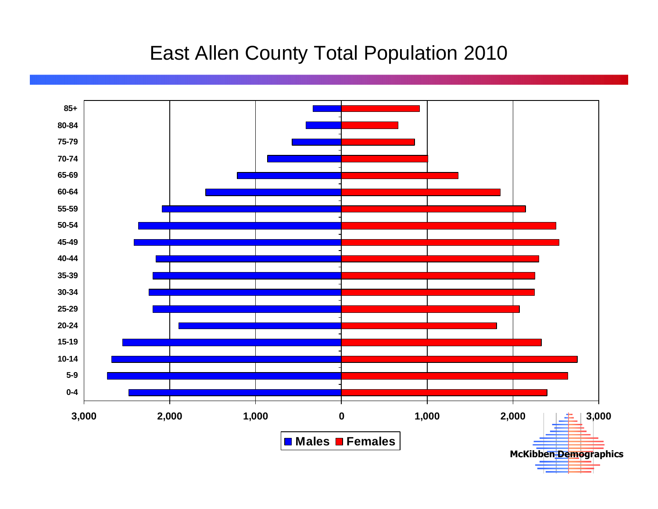#### East Allen County Total Population 2010

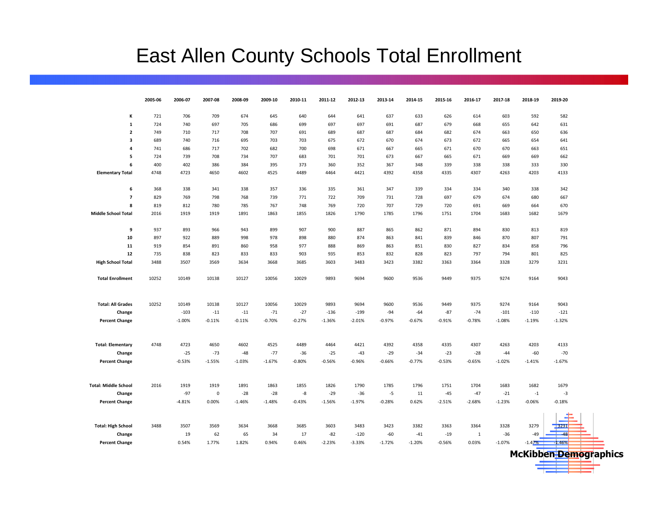# East Allen County Schools Total Enrollment

|                             | 2005-06    | 2006-07    | 2007-08     | 2008-09    | 2009-10           | 2010-11           | 2011-12    | 2012-13    | 2013-14    | 2014-15    | 2015-16    | 2016-17           | 2017-18    | 2018-19    | 2019-20     |
|-----------------------------|------------|------------|-------------|------------|-------------------|-------------------|------------|------------|------------|------------|------------|-------------------|------------|------------|-------------|
|                             |            |            |             |            | 645               |                   |            |            |            |            |            |                   |            |            |             |
| К<br>$\mathbf{1}$           | 721<br>724 | 706<br>740 | 709<br>697  | 674<br>705 | 686               | 640<br>699        | 644<br>697 | 641<br>697 | 637<br>691 | 633<br>687 | 626<br>679 | 614<br>668        | 603<br>655 | 592<br>642 | 582<br>631  |
| $\overline{2}$              | 749        | 710        | 717         | 708        | 707               | 691               | 689        | 687        | 687        | 684        | 682        | 674               | 663        | 650        | 636         |
| 3                           | 689        | 740        | 716         | 695        | 703               | 703               | 675        | 672        | 670        | 674        | 673        | 672               | 665        | 654        | 641         |
| 4                           | 741        | 686        | 717         | 702        | 682               | 700               | 698        | 671        | 667        | 665        | 671        | 670               | 670        | 663        | 651         |
| 5                           | 724        | 739        | 708         | 734        | 707               | 683               | 701        | 701        | 673        | 667        | 665        | 671               | 669        | 669        | 662         |
| 6                           | 400        | 402        | 386         | 384        | 395               | 373               | 360        | 352        | 367        | 348        | 339        | 338               | 338        | 333        | 330         |
| <b>Elementary Total</b>     | 4748       | 4723       | 4650        | 4602       | 4525              | 4489              | 4464       | 4421       | 4392       | 4358       | 4335       | 4307              | 4263       | 4203       | 4133        |
|                             |            |            |             |            |                   |                   |            |            |            |            |            |                   |            |            |             |
| 6                           | 368        | 338        | 341         | 338        | 357               | 336               | 335        | 361        | 347        | 339        | 334        | 334               | 340        | 338        | 342         |
| $\overline{7}$              | 829        | 769        | 798         | 768        | 739               | 771               | 722        | 709        | 731        | 728        | 697        | 679               | 674        | 680        | 667         |
| 8                           | 819        | 812        | 780         | 785        | 767               | 748               | 769        | 720        | 707        | 729        | 720        | 691               | 669        | 664        | 670         |
| <b>Middle School Total</b>  | 2016       | 1919       | 1919        | 1891       | 1863              | 1855              | 1826       | 1790       | 1785       | 1796       | 1751       | 1704              | 1683       | 1682       | 1679        |
|                             |            |            |             |            |                   |                   |            |            |            |            |            |                   |            |            |             |
| 9                           | 937        | 893        | 966         | 943        | 899               | 907               | 900        | 887        | 865        | 862        | 871        | 894               | 830        | 813        | 819         |
| 10                          | 897        | 922        | 889         | 998        | 978               | 898               | 880        | 874        | 863        | 841        | 839        | 846               | 870        | 807        | 791         |
| 11                          | 919        | 854        | 891         | 860        | 958               | 977               | 888        | 869        | 863        | 851        | 830        | 827               | 834        | 858        | 796         |
| 12                          | 735        | 838        | 823         | 833        | 833               | 903               | 935        | 853        | 832        | 828        | 823        | 797               | 794        | 801        | 825         |
| <b>High School Total</b>    | 3488       | 3507       | 3569        | 3634       | 3668              | 3685              | 3603       | 3483       | 3423       | 3382       | 3363       | 3364              | 3328       | 3279       | 3231        |
|                             |            |            |             |            |                   |                   |            |            |            |            |            |                   |            |            |             |
| <b>Total Enrollment</b>     | 10252      | 10149      | 10138       | 10127      | 10056             | 10029             | 9893       | 9694       | 9600       | 9536       | 9449       | 9375              | 9274       | 9164       | 9043        |
|                             |            |            |             |            |                   |                   |            |            |            |            |            |                   |            |            |             |
|                             |            |            |             |            |                   |                   |            |            |            |            |            |                   |            |            |             |
| <b>Total: All Grades</b>    | 10252      | 10149      | 10138       | 10127      | 10056             | 10029             | 9893       | 9694       | 9600       | 9536       | 9449       | 9375              | 9274       | 9164       | 9043        |
| Change                      |            | $-103$     | $-11$       | $-11$      | $-71$<br>$-0.70%$ | $-27$<br>$-0.27%$ | $-136$     | $-199$     | $-94$      | $-64$      | $-87$      | $-74$<br>$-0.78%$ | $-101$     | $-110$     | $-121$      |
| <b>Percent Change</b>       |            | $-1.00%$   | $-0.11%$    | $-0.11%$   |                   |                   | $-1.36%$   | $-2.01%$   | $-0.97%$   | $-0.67%$   | $-0.91%$   |                   | $-1.08%$   | $-1.19%$   | $-1.32%$    |
|                             |            |            |             |            |                   |                   |            |            |            |            |            |                   |            |            |             |
| <b>Total: Elementary</b>    | 4748       | 4723       | 4650        | 4602       | 4525              | 4489              | 4464       | 4421       | 4392       | 4358       | 4335       | 4307              | 4263       | 4203       | 4133        |
| Change                      |            | $-25$      | $-73$       | -48        | $-77$             | $-36$             | $-25$      | $-43$      | $-29$      | $-34$      | $-23$      | $-28$             | $-44$      | $-60$      | $-70$       |
| <b>Percent Change</b>       |            | $-0.53%$   | $-1.55%$    | $-1.03%$   | $-1.67%$          | $-0.80%$          | $-0.56%$   | $-0.96%$   | $-0.66%$   | $-0.77%$   | $-0.53%$   | $-0.65%$          | $-1.02%$   | $-1.41%$   | $-1.67%$    |
|                             |            |            |             |            |                   |                   |            |            |            |            |            |                   |            |            |             |
|                             |            |            |             |            |                   |                   |            |            |            |            |            |                   |            |            |             |
| <b>Total: Middle School</b> | 2016       | 1919       | 1919        | 1891       | 1863              | 1855              | 1826       | 1790       | 1785       | 1796       | 1751       | 1704              | 1683       | 1682       | 1679        |
| Change                      |            | $-97$      | $\mathbf 0$ | $-28$      | $-28$             | -8                | $-29$      | $-36$      | -5         | 11         | $-45$      | $-47$             | $-21$      | $-1$       | $-3$        |
| <b>Percent Change</b>       |            | $-4.81%$   | 0.00%       | $-1.46%$   | $-1.48%$          | $-0.43%$          | $-1.56%$   | $-1.97%$   | $-0.28%$   | 0.62%      | $-2.51%$   | $-2.68%$          | $-1.23%$   | $-0.06%$   | $-0.18%$    |
|                             |            |            |             |            |                   |                   |            |            |            |            |            |                   |            |            |             |
|                             |            |            |             |            |                   |                   |            |            |            |            |            |                   |            |            |             |
| <b>Total: High School</b>   | 3488       | 3507       | 3569        | 3634       | 3668              | 3685              | 3603       | 3483       | 3423       | 3382       | 3363       | 3364              | 3328       | 3279       | <b>B231</b> |
| Change                      |            | 19         | 62          | 65         | 34                | 17                | $-82$      | $-120$     | $-60$      | $-41$      | $-19$      | 1                 | $-36$      | -49        | $-48$       |
| <b>Percent Change</b>       |            | 0.54%      | 1.77%       | 1.82%      | 0.94%             | 0.46%             | $-2.23%$   | $-3.33%$   | $-1.72%$   | $-1.20%$   | $-0.56%$   | 0.03%             | $-1.07%$   | $-1.47%$   | $-1.46%$    |

McKibben Demographics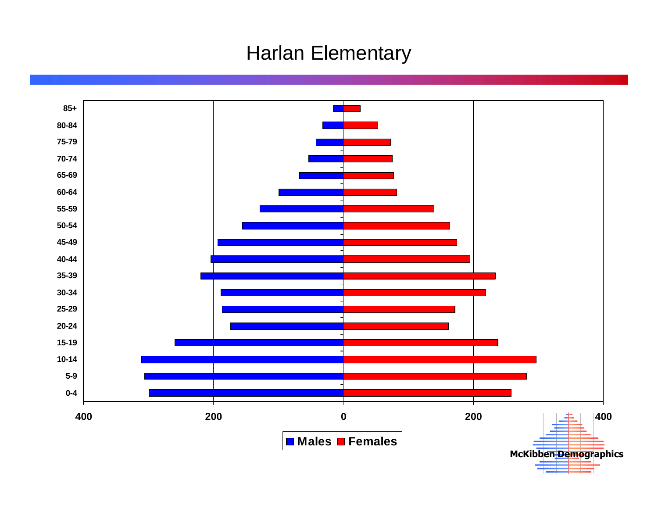# Harlan Elementary

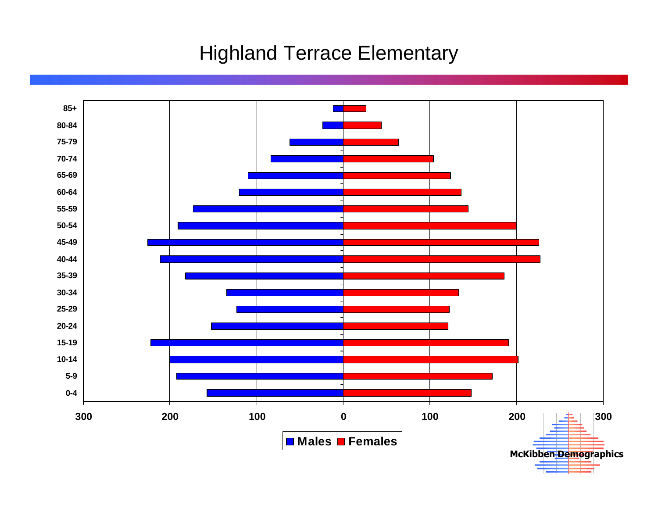# Highland Terrace Elementary

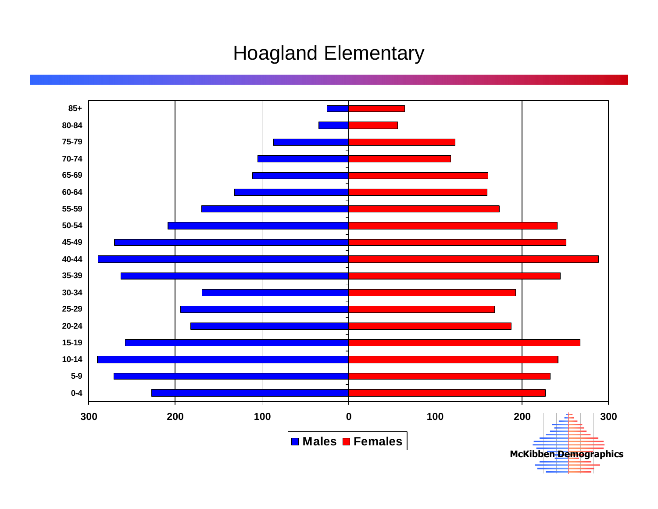# Hoagland Elementary

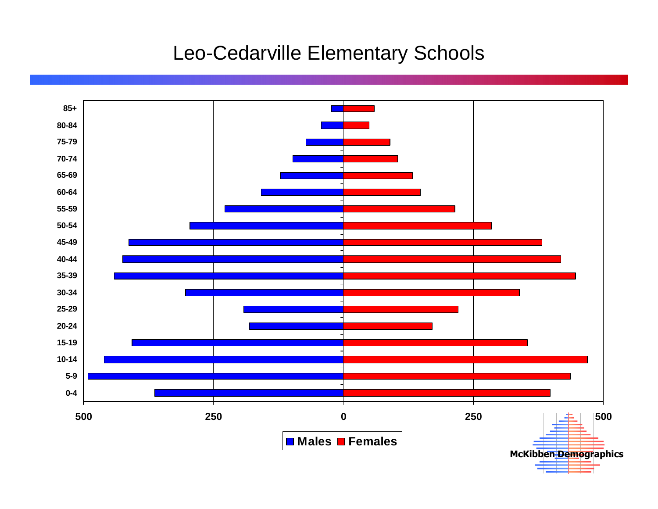# Leo-Cedarville Elementary Schools

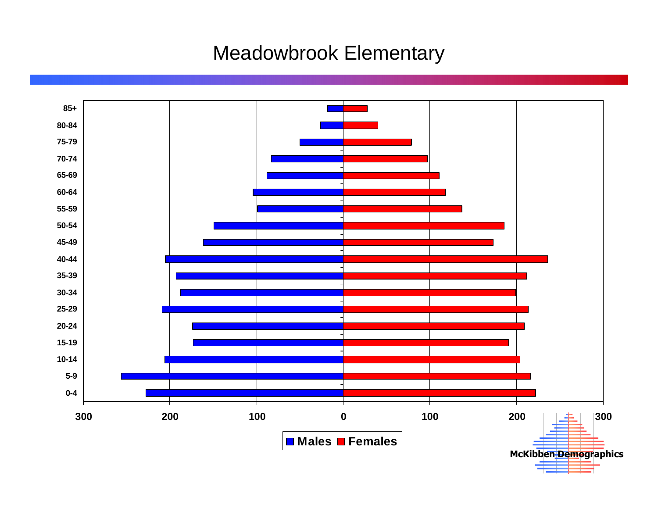# Meadowbrook Elementary

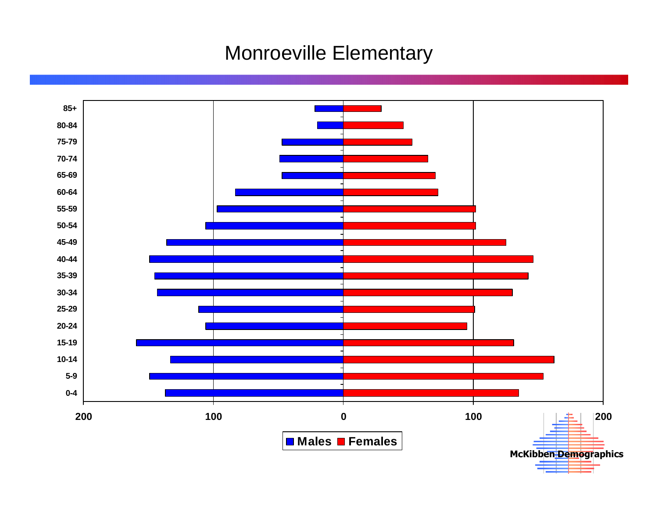#### Monroeville Elementary

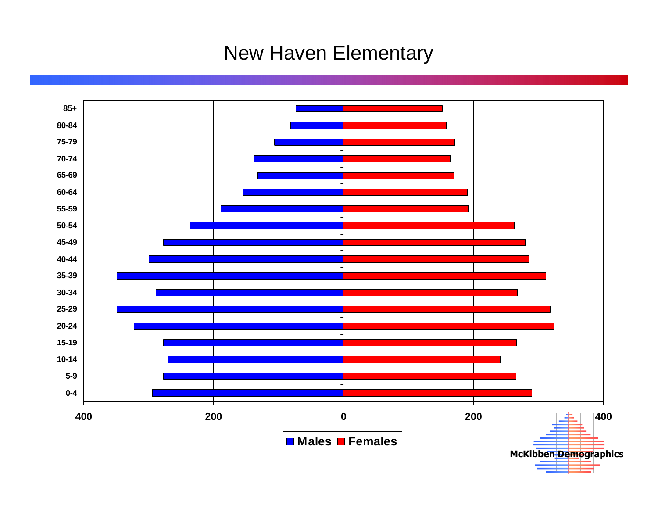# New Haven Elementary

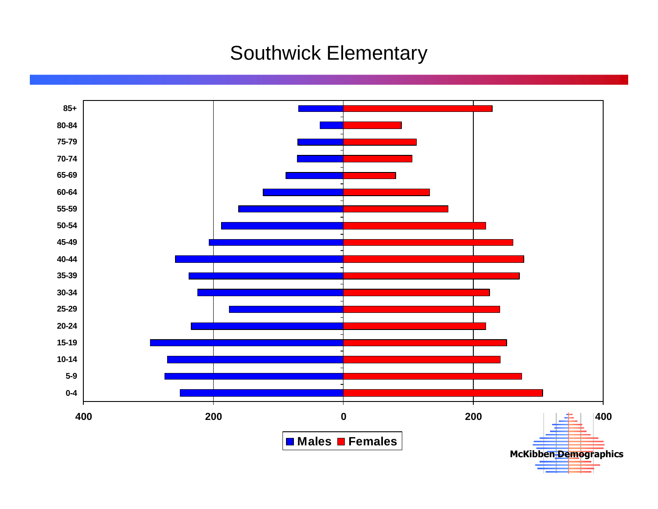# Southwick Elementary

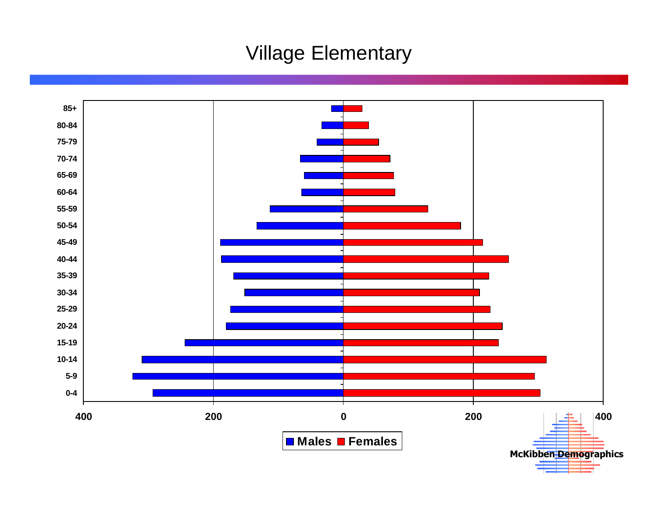# Village Elementary

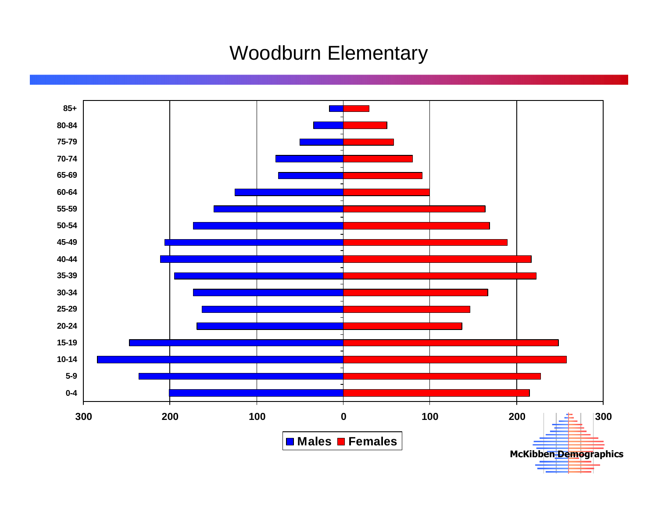# Woodburn Elementary

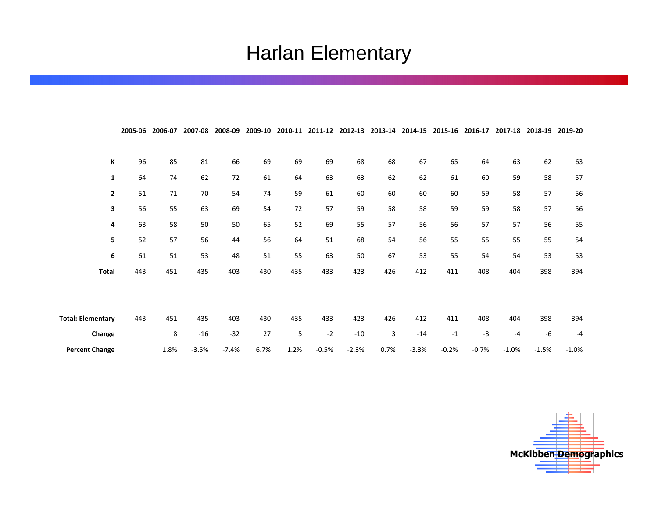# Harlan Elementary

|                          | 2005-06 | 2006-07 | 2007-08 | 2008-09 | 2009-10 | 2010-11 |         | 2011-12 2012-13 |      | 2013-14 2014-15 2015-16 |         | 2016-17 | 2017-18 | 2018-19 | 2019-20 |
|--------------------------|---------|---------|---------|---------|---------|---------|---------|-----------------|------|-------------------------|---------|---------|---------|---------|---------|
|                          |         |         |         |         |         |         |         |                 |      |                         |         |         |         |         |         |
| К                        | 96      | 85      | 81      | 66      | 69      | 69      | 69      | 68              | 68   | 67                      | 65      | 64      | 63      | 62      | 63      |
| $\mathbf{1}$             | 64      | 74      | 62      | 72      | 61      | 64      | 63      | 63              | 62   | 62                      | 61      | 60      | 59      | 58      | 57      |
| $\mathbf{2}$             | 51      | 71      | 70      | 54      | 74      | 59      | 61      | 60              | 60   | 60                      | 60      | 59      | 58      | 57      | 56      |
| 3                        | 56      | 55      | 63      | 69      | 54      | 72      | 57      | 59              | 58   | 58                      | 59      | 59      | 58      | 57      | 56      |
| 4                        | 63      | 58      | 50      | 50      | 65      | 52      | 69      | 55              | 57   | 56                      | 56      | 57      | 57      | 56      | 55      |
| 5                        | 52      | 57      | 56      | 44      | 56      | 64      | 51      | 68              | 54   | 56                      | 55      | 55      | 55      | 55      | 54      |
| 6                        | 61      | 51      | 53      | 48      | 51      | 55      | 63      | 50              | 67   | 53                      | 55      | 54      | 54      | 53      | 53      |
| <b>Total</b>             | 443     | 451     | 435     | 403     | 430     | 435     | 433     | 423             | 426  | 412                     | 411     | 408     | 404     | 398     | 394     |
|                          |         |         |         |         |         |         |         |                 |      |                         |         |         |         |         |         |
|                          |         |         |         |         |         |         |         |                 |      |                         |         |         |         |         |         |
| <b>Total: Elementary</b> | 443     | 451     | 435     | 403     | 430     | 435     | 433     | 423             | 426  | 412                     | 411     | 408     | 404     | 398     | 394     |
| Change                   |         | 8       | $-16$   | $-32$   | 27      | 5       | $-2$    | $-10$           | 3    | $-14$                   | $-1$    | $-3$    | $-4$    | -6      | $-4$    |
| <b>Percent Change</b>    |         | 1.8%    | $-3.5%$ | $-7.4%$ | 6.7%    | 1.2%    | $-0.5%$ | $-2.3%$         | 0.7% | $-3.3%$                 | $-0.2%$ | $-0.7%$ | $-1.0%$ | $-1.5%$ | $-1.0%$ |

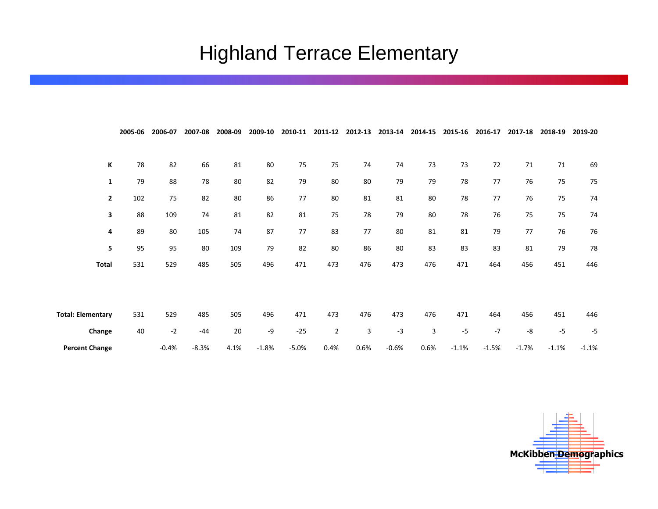# Highland Terrace Elementary

|                          | 2005-06 | 2006-07 | 2007-08 | 2008-09 | 2009-10 | 2010-11 | 2011-12        | 2012-13 | 2013-14 | 2014-15 | 2015-16 | 2016-17 | 2017-18 | 2018-19 | 2019-20 |
|--------------------------|---------|---------|---------|---------|---------|---------|----------------|---------|---------|---------|---------|---------|---------|---------|---------|
|                          |         |         |         |         |         |         |                |         |         |         |         |         |         |         |         |
| К                        | 78      | 82      | 66      | 81      | 80      | 75      | 75             | 74      | 74      | 73      | 73      | 72      | 71      | 71      | 69      |
| $\mathbf{1}$             | 79      | 88      | 78      | 80      | 82      | 79      | 80             | 80      | 79      | 79      | 78      | 77      | 76      | 75      | 75      |
| $\overline{2}$           | 102     | 75      | 82      | 80      | 86      | $77\,$  | 80             | 81      | 81      | 80      | 78      | 77      | 76      | 75      | 74      |
| 3                        | 88      | 109     | 74      | 81      | 82      | 81      | 75             | 78      | 79      | 80      | 78      | 76      | 75      | 75      | 74      |
| 4                        | 89      | 80      | 105     | 74      | 87      | 77      | 83             | 77      | 80      | 81      | 81      | 79      | 77      | 76      | 76      |
| 5                        | 95      | 95      | 80      | 109     | 79      | 82      | 80             | 86      | 80      | 83      | 83      | 83      | 81      | 79      | 78      |
| <b>Total</b>             | 531     | 529     | 485     | 505     | 496     | 471     | 473            | 476     | 473     | 476     | 471     | 464     | 456     | 451     | 446     |
|                          |         |         |         |         |         |         |                |         |         |         |         |         |         |         |         |
|                          |         |         |         |         |         |         |                |         |         |         |         |         |         |         |         |
| <b>Total: Elementary</b> | 531     | 529     | 485     | 505     | 496     | 471     | 473            | 476     | 473     | 476     | 471     | 464     | 456     | 451     | 446     |
| Change                   | 40      | $-2$    | $-44$   | $20\,$  | $-9$    | $-25$   | $\overline{2}$ | 3       | $-3$    | 3       | $-5$    | $-7$    | -8      | $-5$    | $-5$    |
| <b>Percent Change</b>    |         | $-0.4%$ | $-8.3%$ | 4.1%    | $-1.8%$ | $-5.0%$ | 0.4%           | 0.6%    | $-0.6%$ | 0.6%    | $-1.1%$ | $-1.5%$ | $-1.7%$ | $-1.1%$ | $-1.1%$ |

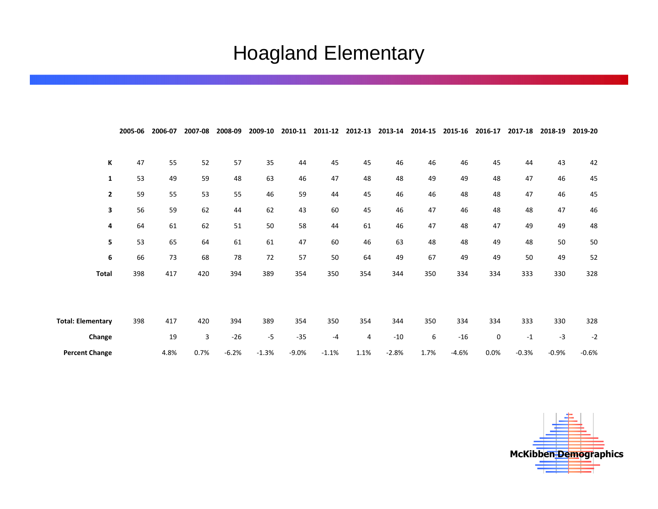# Hoagland Elementary

|                          | 2005-06 | 2006-07 | 2007-08 | 2008-09 | 2009-10 | 2010-11 | 2011-12 | 2012-13 | 2013-14 | 2014-15 | 2015-16 | 2016-17 | 2017-18 | 2018-19 | 2019-20 |
|--------------------------|---------|---------|---------|---------|---------|---------|---------|---------|---------|---------|---------|---------|---------|---------|---------|
|                          |         |         |         |         |         |         |         |         |         |         |         |         |         |         |         |
| К                        | 47      | 55      | 52      | 57      | 35      | 44      | 45      | 45      | 46      | 46      | 46      | 45      | 44      | 43      | 42      |
| $\mathbf{1}$             | 53      | 49      | 59      | 48      | 63      | 46      | 47      | 48      | 48      | 49      | 49      | 48      | 47      | 46      | 45      |
| $\mathbf{2}$             | 59      | 55      | 53      | 55      | 46      | 59      | 44      | 45      | 46      | 46      | 48      | 48      | 47      | 46      | 45      |
| 3                        | 56      | 59      | 62      | 44      | 62      | 43      | 60      | 45      | 46      | 47      | 46      | 48      | 48      | 47      | 46      |
| 4                        | 64      | 61      | 62      | 51      | 50      | 58      | 44      | 61      | 46      | 47      | 48      | 47      | 49      | 49      | 48      |
| 5                        | 53      | 65      | 64      | 61      | 61      | 47      | 60      | 46      | 63      | 48      | 48      | 49      | 48      | 50      | 50      |
| 6                        | 66      | 73      | 68      | 78      | 72      | 57      | 50      | 64      | 49      | 67      | 49      | 49      | 50      | 49      | 52      |
| <b>Total</b>             | 398     | 417     | 420     | 394     | 389     | 354     | 350     | 354     | 344     | 350     | 334     | 334     | 333     | 330     | 328     |
|                          |         |         |         |         |         |         |         |         |         |         |         |         |         |         |         |
|                          |         |         |         |         |         |         |         |         |         |         |         |         |         |         |         |
| <b>Total: Elementary</b> | 398     | 417     | 420     | 394     | 389     | 354     | 350     | 354     | 344     | 350     | 334     | 334     | 333     | 330     | 328     |
| Change                   |         | 19      | 3       | $-26$   | $-5$    | $-35$   | -4      | 4       | $-10$   | 6       | $-16$   | 0       | $-1$    | $-3$    | $-2$    |
| <b>Percent Change</b>    |         | 4.8%    | 0.7%    | $-6.2%$ | $-1.3%$ | $-9.0%$ | $-1.1%$ | 1.1%    | $-2.8%$ | 1.7%    | $-4.6%$ | 0.0%    | $-0.3%$ | $-0.9%$ | $-0.6%$ |

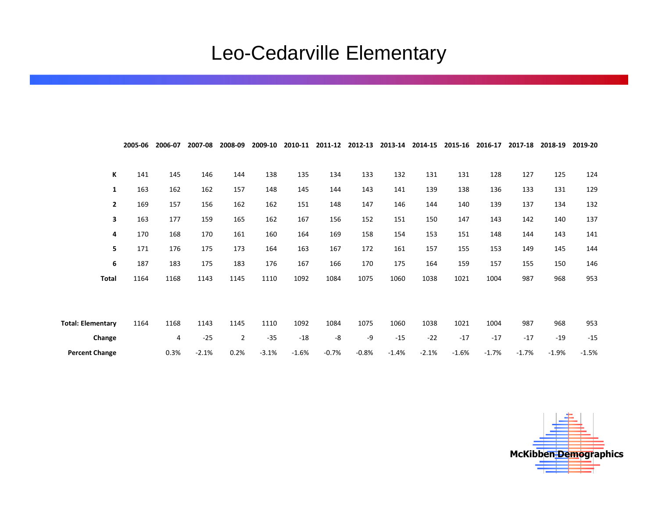# Leo-Cedarville Elementary

|                          | 2005-06 | 2006-07 | 2007-08 | 2008-09        | 2009-10 | 2010-11 |         | 2011-12 2012-13 |         | 2013-14 2014-15 2015-16 |         | 2016-17 | 2017-18 | 2018-19 | 2019-20 |
|--------------------------|---------|---------|---------|----------------|---------|---------|---------|-----------------|---------|-------------------------|---------|---------|---------|---------|---------|
|                          |         |         |         |                |         |         |         |                 |         |                         |         |         |         |         |         |
| К                        | 141     | 145     | 146     | 144            | 138     | 135     | 134     | 133             | 132     | 131                     | 131     | 128     | 127     | 125     | 124     |
| 1                        | 163     | 162     | 162     | 157            | 148     | 145     | 144     | 143             | 141     | 139                     | 138     | 136     | 133     | 131     | 129     |
| $\overline{2}$           | 169     | 157     | 156     | 162            | 162     | 151     | 148     | 147             | 146     | 144                     | 140     | 139     | 137     | 134     | 132     |
| 3                        | 163     | 177     | 159     | 165            | 162     | 167     | 156     | 152             | 151     | 150                     | 147     | 143     | 142     | 140     | 137     |
| 4                        | 170     | 168     | 170     | 161            | 160     | 164     | 169     | 158             | 154     | 153                     | 151     | 148     | 144     | 143     | 141     |
| 5                        | 171     | 176     | 175     | 173            | 164     | 163     | 167     | 172             | 161     | 157                     | 155     | 153     | 149     | 145     | 144     |
| 6                        | 187     | 183     | 175     | 183            | 176     | 167     | 166     | 170             | 175     | 164                     | 159     | 157     | 155     | 150     | 146     |
| <b>Total</b>             | 1164    | 1168    | 1143    | 1145           | 1110    | 1092    | 1084    | 1075            | 1060    | 1038                    | 1021    | 1004    | 987     | 968     | 953     |
|                          |         |         |         |                |         |         |         |                 |         |                         |         |         |         |         |         |
|                          |         |         |         |                |         |         |         |                 |         |                         |         |         |         |         |         |
| <b>Total: Elementary</b> | 1164    | 1168    | 1143    | 1145           | 1110    | 1092    | 1084    | 1075            | 1060    | 1038                    | 1021    | 1004    | 987     | 968     | 953     |
| Change                   |         | 4       | $-25$   | $\overline{2}$ | $-35$   | $-18$   | -8      | -9              | $-15$   | $-22$                   | $-17$   | $-17$   | $-17$   | $-19$   | $-15$   |
| <b>Percent Change</b>    |         | 0.3%    | $-2.1%$ | 0.2%           | $-3.1%$ | $-1.6%$ | $-0.7%$ | $-0.8%$         | $-1.4%$ | $-2.1%$                 | $-1.6%$ | $-1.7%$ | $-1.7%$ | $-1.9%$ | $-1.5%$ |

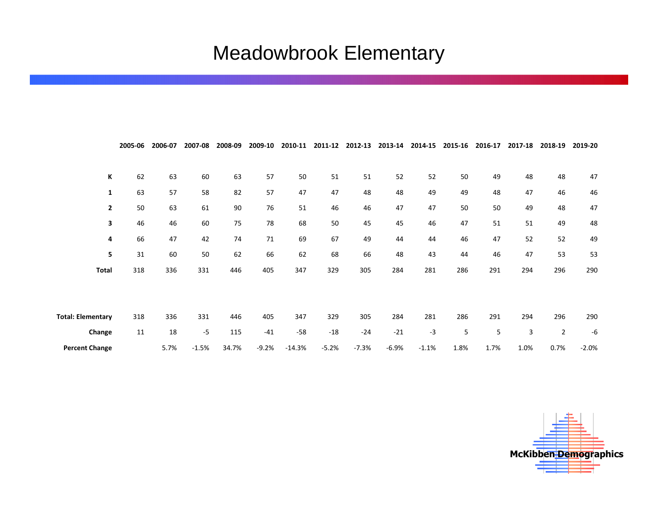# Meadowbrook Elementary

|                          | 2005-06 | 2006-07 | 2007-08 | 2008-09 | 2009-10 | 2010-11  | 2011-12 | 2012-13 | 2013-14 | 2014-15 | 2015-16 | 2016-17 | 2017-18 | 2018-19        | 2019-20 |
|--------------------------|---------|---------|---------|---------|---------|----------|---------|---------|---------|---------|---------|---------|---------|----------------|---------|
|                          |         |         |         |         |         |          |         |         |         |         |         |         |         |                |         |
| К                        | 62      | 63      | 60      | 63      | 57      | 50       | 51      | 51      | 52      | 52      | 50      | 49      | 48      | 48             | 47      |
| 1                        | 63      | 57      | 58      | 82      | 57      | 47       | 47      | 48      | 48      | 49      | 49      | 48      | 47      | 46             | 46      |
| $\overline{2}$           | 50      | 63      | 61      | 90      | 76      | 51       | 46      | 46      | 47      | 47      | 50      | 50      | 49      | 48             | 47      |
| 3                        | 46      | 46      | 60      | 75      | 78      | 68       | 50      | 45      | 45      | 46      | 47      | 51      | 51      | 49             | 48      |
| 4                        | 66      | 47      | 42      | 74      | 71      | 69       | 67      | 49      | 44      | 44      | 46      | 47      | 52      | 52             | 49      |
| 5                        | 31      | 60      | 50      | 62      | 66      | 62       | 68      | 66      | 48      | 43      | 44      | 46      | 47      | 53             | 53      |
| <b>Total</b>             | 318     | 336     | 331     | 446     | 405     | 347      | 329     | 305     | 284     | 281     | 286     | 291     | 294     | 296            | 290     |
|                          |         |         |         |         |         |          |         |         |         |         |         |         |         |                |         |
|                          |         |         |         |         |         |          |         |         |         |         |         |         |         |                |         |
| <b>Total: Elementary</b> | 318     | 336     | 331     | 446     | 405     | 347      | 329     | 305     | 284     | 281     | 286     | 291     | 294     | 296            | 290     |
| Change                   | 11      | 18      | $-5$    | 115     | $-41$   | $-58$    | $-18$   | $-24$   | $-21$   | $-3$    | 5       | 5       | 3       | $\overline{2}$ | $-6$    |
| <b>Percent Change</b>    |         | 5.7%    | $-1.5%$ | 34.7%   | $-9.2%$ | $-14.3%$ | $-5.2%$ | $-7.3%$ | $-6.9%$ | $-1.1%$ | 1.8%    | 1.7%    | 1.0%    | 0.7%           | $-2.0%$ |

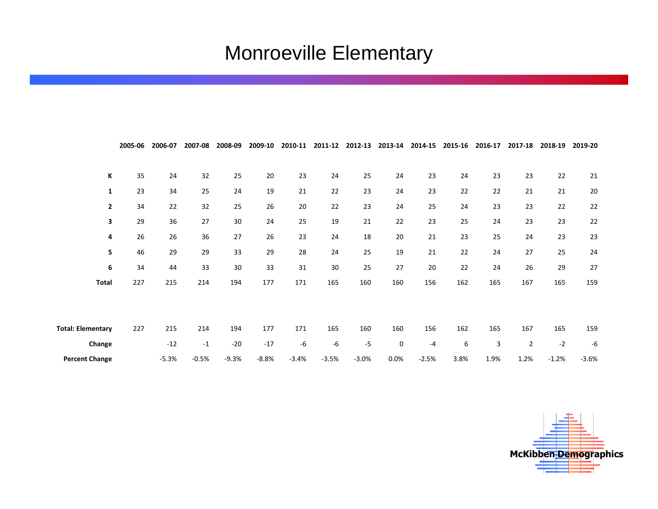# Monroeville Elementary

|                          | 2005-06 | 2006-07 | 2007-08 | 2008-09 | 2009-10 | 2010-11 | 2011-12 | 2012-13 | 2013-14 | 2014-15 | 2015-16 | 2016-17 | 2017-18        | 2018-19 | 2019-20 |
|--------------------------|---------|---------|---------|---------|---------|---------|---------|---------|---------|---------|---------|---------|----------------|---------|---------|
|                          |         |         |         |         |         |         |         |         |         |         |         |         |                |         |         |
| К                        | 35      | 24      | 32      | 25      | $20\,$  | 23      | 24      | 25      | 24      | 23      | 24      | 23      | 23             | 22      | 21      |
| 1                        | 23      | 34      | 25      | 24      | 19      | 21      | 22      | 23      | 24      | 23      | 22      | 22      | 21             | 21      | 20      |
| $\overline{2}$           | 34      | 22      | 32      | 25      | 26      | 20      | 22      | 23      | 24      | 25      | 24      | 23      | 23             | 22      | 22      |
| 3                        | 29      | 36      | 27      | 30      | 24      | 25      | 19      | 21      | 22      | 23      | 25      | 24      | 23             | 23      | 22      |
| 4                        | 26      | 26      | 36      | 27      | 26      | 23      | 24      | 18      | 20      | 21      | 23      | 25      | 24             | 23      | 23      |
| 5                        | 46      | 29      | 29      | 33      | 29      | 28      | 24      | 25      | 19      | 21      | 22      | 24      | 27             | 25      | 24      |
| 6                        | 34      | 44      | 33      | 30      | 33      | 31      | 30      | 25      | 27      | 20      | 22      | 24      | 26             | 29      | 27      |
| <b>Total</b>             | 227     | 215     | 214     | 194     | 177     | 171     | 165     | 160     | 160     | 156     | 162     | 165     | 167            | 165     | 159     |
|                          |         |         |         |         |         |         |         |         |         |         |         |         |                |         |         |
|                          |         |         |         |         |         |         |         |         |         |         |         |         |                |         |         |
| <b>Total: Elementary</b> | 227     | 215     | 214     | 194     | 177     | 171     | 165     | 160     | 160     | 156     | 162     | 165     | 167            | 165     | 159     |
| Change                   |         | $-12$   | $-1$    | $-20$   | $-17$   | -6      | -6      | $-5$    | 0       | $-4$    | 6       | 3       | $\overline{2}$ | $-2$    | -6      |
| <b>Percent Change</b>    |         | $-5.3%$ | $-0.5%$ | $-9.3%$ | $-8.8%$ | $-3.4%$ | $-3.5%$ | $-3.0%$ | 0.0%    | $-2.5%$ | 3.8%    | 1.9%    | 1.2%           | $-1.2%$ | $-3.6%$ |

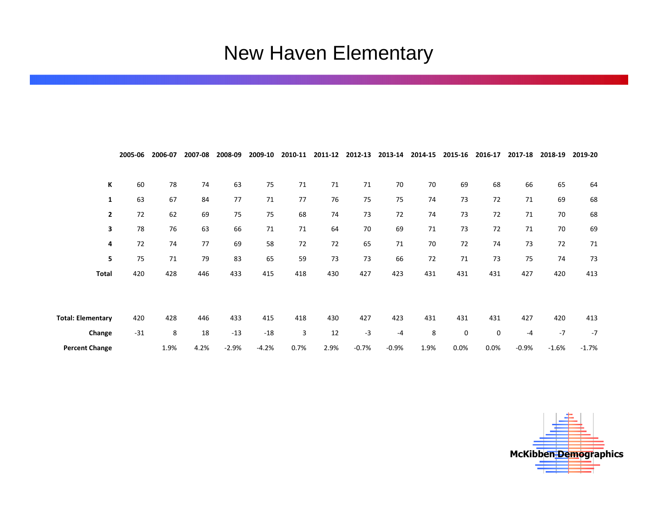# New Haven Elementary

|                          | 2005-06 | 2006-07 | 2007-08 | 2008-09 | 2009-10 | 2010-11 | 2011-12 | 2012-13 | 2013-14 | 2014-15 | 2015-16 | 2016-17 | 2017-18 | 2018-19 | 2019-20 |
|--------------------------|---------|---------|---------|---------|---------|---------|---------|---------|---------|---------|---------|---------|---------|---------|---------|
|                          |         |         |         |         |         |         |         |         |         |         |         |         |         |         |         |
| К                        | 60      | 78      | 74      | 63      | 75      | 71      | 71      | 71      | 70      | 70      | 69      | 68      | 66      | 65      | 64      |
| 1                        | 63      | 67      | 84      | 77      | 71      | 77      | 76      | 75      | 75      | 74      | 73      | 72      | 71      | 69      | 68      |
| $\mathbf{2}$             | 72      | 62      | 69      | 75      | 75      | 68      | 74      | 73      | 72      | 74      | 73      | 72      | 71      | 70      | 68      |
| 3                        | 78      | 76      | 63      | 66      | 71      | 71      | 64      | 70      | 69      | 71      | 73      | 72      | 71      | 70      | 69      |
| 4                        | 72      | 74      | 77      | 69      | 58      | 72      | 72      | 65      | 71      | 70      | 72      | 74      | 73      | 72      | 71      |
| 5                        | 75      | 71      | 79      | 83      | 65      | 59      | 73      | 73      | 66      | 72      | 71      | 73      | 75      | 74      | 73      |
| <b>Total</b>             | 420     | 428     | 446     | 433     | 415     | 418     | 430     | 427     | 423     | 431     | 431     | 431     | 427     | 420     | 413     |
|                          |         |         |         |         |         |         |         |         |         |         |         |         |         |         |         |
|                          |         |         |         |         |         |         |         |         |         |         |         |         |         |         |         |
| <b>Total: Elementary</b> | 420     | 428     | 446     | 433     | 415     | 418     | 430     | 427     | 423     | 431     | 431     | 431     | 427     | 420     | 413     |
| Change                   | $-31$   | 8       | 18      | $-13$   | $-18$   | 3       | 12      | $-3$    | $-4$    | 8       | 0       | 0       | $-4$    | $-7$    | $-7$    |
| <b>Percent Change</b>    |         | 1.9%    | 4.2%    | $-2.9%$ | $-4.2%$ | 0.7%    | 2.9%    | $-0.7%$ | $-0.9%$ | 1.9%    | 0.0%    | 0.0%    | $-0.9%$ | $-1.6%$ | $-1.7%$ |

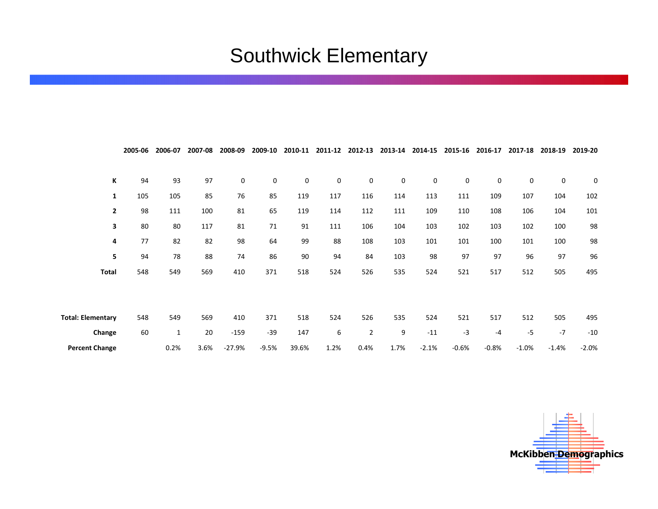# Southwick Elementary

|                          | 2005-06 | 2006-07      | 2007-08 | 2008-09  | 2009-10 | 2010-11 | 2011-12     | 2012-13        | 2013-14 | 2014-15 | 2015-16   | 2016-17     | 2017-18  | 2018-19 | 2019-20 |
|--------------------------|---------|--------------|---------|----------|---------|---------|-------------|----------------|---------|---------|-----------|-------------|----------|---------|---------|
|                          |         |              |         |          |         |         |             |                |         |         |           |             |          |         |         |
| К                        | 94      | 93           | 97      | 0        | 0       | 0       | $\mathbf 0$ | 0              | 0       | 0       | $\pmb{0}$ | $\mathbf 0$ | 0        | 0       | 0       |
| $\mathbf{1}$             | 105     | 105          | 85      | 76       | 85      | 119     | 117         | 116            | 114     | 113     | 111       | 109         | 107      | 104     | 102     |
| $\overline{2}$           | 98      | 111          | 100     | 81       | 65      | 119     | 114         | 112            | 111     | 109     | 110       | 108         | 106      | 104     | 101     |
| 3                        | 80      | 80           | 117     | 81       | 71      | 91      | 111         | 106            | 104     | 103     | 102       | 103         | 102      | 100     | 98      |
| 4                        | 77      | 82           | 82      | 98       | 64      | 99      | 88          | 108            | 103     | 101     | 101       | 100         | 101      | 100     | 98      |
| 5                        | 94      | 78           | 88      | 74       | 86      | 90      | 94          | 84             | 103     | 98      | 97        | 97          | 96       | 97      | 96      |
| <b>Total</b>             | 548     | 549          | 569     | 410      | 371     | 518     | 524         | 526            | 535     | 524     | 521       | 517         | 512      | 505     | 495     |
|                          |         |              |         |          |         |         |             |                |         |         |           |             |          |         |         |
|                          |         |              |         |          |         |         |             |                |         |         |           |             |          |         |         |
| <b>Total: Elementary</b> | 548     | 549          | 569     | 410      | 371     | 518     | 524         | 526            | 535     | 524     | 521       | 517         | 512      | 505     | 495     |
| Change                   | 60      | $\mathbf{1}$ | 20      | $-159$   | $-39$   | 147     | 6           | $\overline{2}$ | 9       | $-11$   | $-3$      | $-4$        | $-5$     | $-7$    | $-10$   |
| <b>Percent Change</b>    |         | 0.2%         | 3.6%    | $-27.9%$ | $-9.5%$ | 39.6%   | 1.2%        | 0.4%           | 1.7%    | $-2.1%$ | $-0.6%$   | $-0.8%$     | $-1.0\%$ | $-1.4%$ | $-2.0%$ |

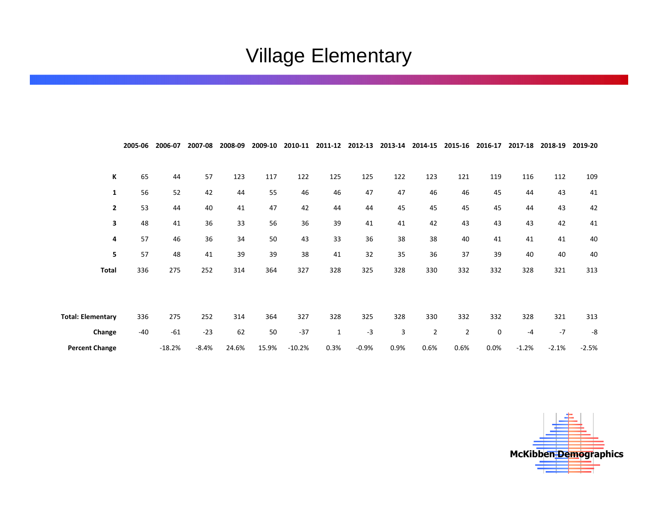# Village Elementary

|                          | 2005-06 | 2006-07  | 2007-08 | 2008-09 | 2009-10 | 2010-11  | 2011-12      | 2012-13 | 2013-14 | 2014-15 | 2015-16        | 2016-17 | 2017-18 | 2018-19 | 2019-20 |
|--------------------------|---------|----------|---------|---------|---------|----------|--------------|---------|---------|---------|----------------|---------|---------|---------|---------|
|                          |         |          |         |         |         |          |              |         |         |         |                |         |         |         |         |
| К                        | 65      | 44       | 57      | 123     | 117     | 122      | 125          | 125     | 122     | 123     | 121            | 119     | 116     | 112     | 109     |
| 1                        | 56      | 52       | 42      | 44      | 55      | 46       | 46           | 47      | 47      | 46      | 46             | 45      | 44      | 43      | 41      |
| $\overline{2}$           | 53      | 44       | 40      | 41      | 47      | 42       | 44           | 44      | 45      | 45      | 45             | 45      | 44      | 43      | 42      |
| 3                        | 48      | 41       | 36      | 33      | 56      | 36       | 39           | 41      | 41      | 42      | 43             | 43      | 43      | 42      | 41      |
| 4                        | 57      | 46       | 36      | 34      | 50      | 43       | 33           | 36      | 38      | 38      | 40             | 41      | 41      | 41      | 40      |
| 5                        | 57      | 48       | 41      | 39      | 39      | 38       | 41           | 32      | 35      | 36      | 37             | 39      | 40      | 40      | 40      |
| Total                    | 336     | 275      | 252     | 314     | 364     | 327      | 328          | 325     | 328     | 330     | 332            | 332     | 328     | 321     | 313     |
|                          |         |          |         |         |         |          |              |         |         |         |                |         |         |         |         |
|                          |         |          |         |         |         |          |              |         |         |         |                |         |         |         |         |
| <b>Total: Elementary</b> | 336     | 275      | 252     | 314     | 364     | 327      | 328          | 325     | 328     | 330     | 332            | 332     | 328     | 321     | 313     |
| Change                   | $-40$   | $-61$    | $-23$   | 62      | 50      | $-37$    | $\mathbf{1}$ | $-3$    | 3       | 2       | $\overline{2}$ | 0       | $-4$    | $-7$    | -8      |
| <b>Percent Change</b>    |         | $-18.2%$ | $-8.4%$ | 24.6%   | 15.9%   | $-10.2%$ | 0.3%         | $-0.9%$ | 0.9%    | 0.6%    | 0.6%           | 0.0%    | $-1.2%$ | $-2.1%$ | $-2.5%$ |

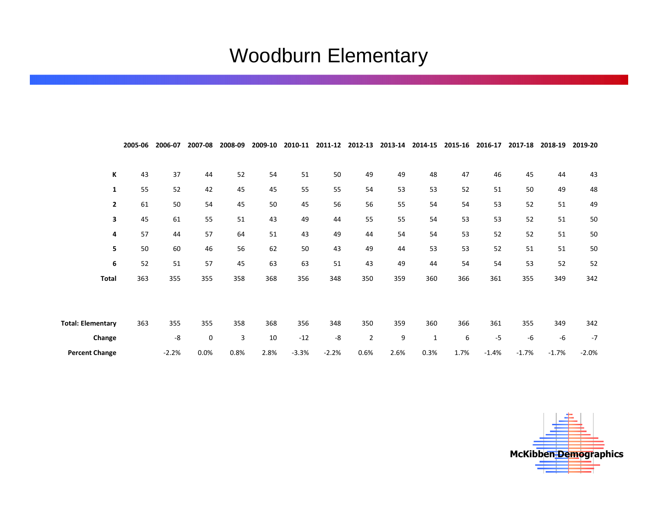# Woodburn Elementary

|                          | 2005-06 | 2006-07 | 2007-08 | 2008-09 | 2009-10 | 2010-11 | 2011-12 | 2012-13        | 2013-14 | 2014-15      | 2015-16 | 2016-17 | 2017-18 | 2018-19 | 2019-20 |
|--------------------------|---------|---------|---------|---------|---------|---------|---------|----------------|---------|--------------|---------|---------|---------|---------|---------|
|                          |         |         |         |         |         |         |         |                |         |              |         |         |         |         |         |
| К                        | 43      | 37      | 44      | 52      | 54      | 51      | 50      | 49             | 49      | 48           | 47      | 46      | 45      | 44      | 43      |
| 1                        | 55      | 52      | 42      | 45      | 45      | 55      | 55      | 54             | 53      | 53           | 52      | 51      | 50      | 49      | 48      |
| $\mathbf{2}$             | 61      | 50      | 54      | 45      | 50      | 45      | 56      | 56             | 55      | 54           | 54      | 53      | 52      | 51      | 49      |
| 3                        | 45      | 61      | 55      | 51      | 43      | 49      | 44      | 55             | 55      | 54           | 53      | 53      | 52      | 51      | 50      |
| 4                        | 57      | 44      | 57      | 64      | 51      | 43      | 49      | 44             | 54      | 54           | 53      | 52      | 52      | 51      | 50      |
| 5                        | 50      | 60      | 46      | 56      | 62      | 50      | 43      | 49             | 44      | 53           | 53      | 52      | 51      | 51      | 50      |
| 6                        | 52      | 51      | 57      | 45      | 63      | 63      | 51      | 43             | 49      | 44           | 54      | 54      | 53      | 52      | 52      |
| <b>Total</b>             | 363     | 355     | 355     | 358     | 368     | 356     | 348     | 350            | 359     | 360          | 366     | 361     | 355     | 349     | 342     |
|                          |         |         |         |         |         |         |         |                |         |              |         |         |         |         |         |
|                          |         |         |         |         |         |         |         |                |         |              |         |         |         |         |         |
| <b>Total: Elementary</b> | 363     | 355     | 355     | 358     | 368     | 356     | 348     | 350            | 359     | 360          | 366     | 361     | 355     | 349     | 342     |
| Change                   |         | -8      | 0       | 3       | 10      | $-12$   | -8      | $\overline{2}$ | 9       | $\mathbf{1}$ | 6       | $-5$    | -6      | $-6$    | $-7$    |
| <b>Percent Change</b>    |         | $-2.2%$ | 0.0%    | 0.8%    | 2.8%    | $-3.3%$ | $-2.2%$ | 0.6%           | 2.6%    | 0.3%         | 1.7%    | $-1.4%$ | $-1.7%$ | $-1.7%$ | $-2.0%$ |

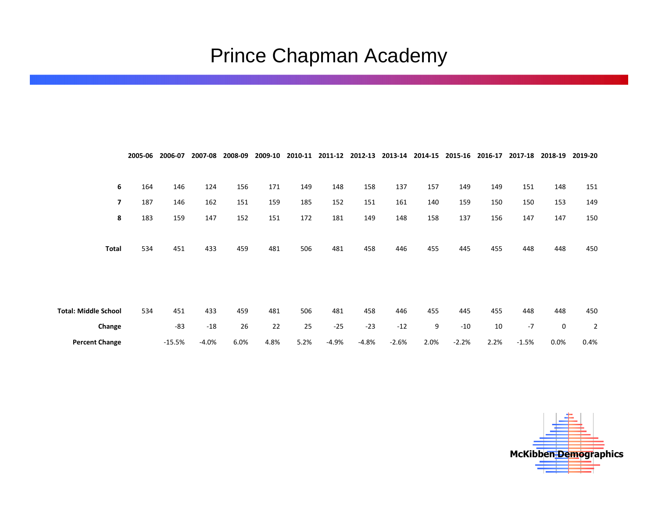# Prince Chapman Academy

|                             | 2005-06 | 2006-07  | 2007-08 | 2008-09 | 2009-10 | 2010-11 | 2011-12 | 2012-13 | 2013-14 | 2014-15 | 2015-16 | 2016-17 | 2017-18 | 2018-19 | 2019-20        |
|-----------------------------|---------|----------|---------|---------|---------|---------|---------|---------|---------|---------|---------|---------|---------|---------|----------------|
|                             |         |          |         |         |         |         |         |         |         |         |         |         |         |         |                |
| 6                           | 164     | 146      | 124     | 156     | 171     | 149     | 148     | 158     | 137     | 157     | 149     | 149     | 151     | 148     | 151            |
| 7                           | 187     | 146      | 162     | 151     | 159     | 185     | 152     | 151     | 161     | 140     | 159     | 150     | 150     | 153     | 149            |
| 8                           | 183     | 159      | 147     | 152     | 151     | 172     | 181     | 149     | 148     | 158     | 137     | 156     | 147     | 147     | 150            |
|                             |         |          |         |         |         |         |         |         |         |         |         |         |         |         |                |
| Total                       | 534     | 451      | 433     | 459     | 481     | 506     | 481     | 458     | 446     | 455     | 445     | 455     | 448     | 448     | 450            |
|                             |         |          |         |         |         |         |         |         |         |         |         |         |         |         |                |
|                             |         |          |         |         |         |         |         |         |         |         |         |         |         |         |                |
|                             |         |          |         |         |         |         |         |         |         |         |         |         |         |         |                |
| <b>Total: Middle School</b> | 534     | 451      | 433     | 459     | 481     | 506     | 481     | 458     | 446     | 455     | 445     | 455     | 448     | 448     | 450            |
| Change                      |         | $-83$    | $-18$   | 26      | 22      | 25      | $-25$   | $-23$   | $-12$   | 9       | $-10$   | 10      | $-7$    | 0       | $\overline{2}$ |
| <b>Percent Change</b>       |         | $-15.5%$ | $-4.0%$ | 6.0%    | 4.8%    | 5.2%    | $-4.9%$ | $-4.8%$ | $-2.6%$ | 2.0%    | $-2.2%$ | 2.2%    | $-1.5%$ | 0.0%    | 0.4%           |

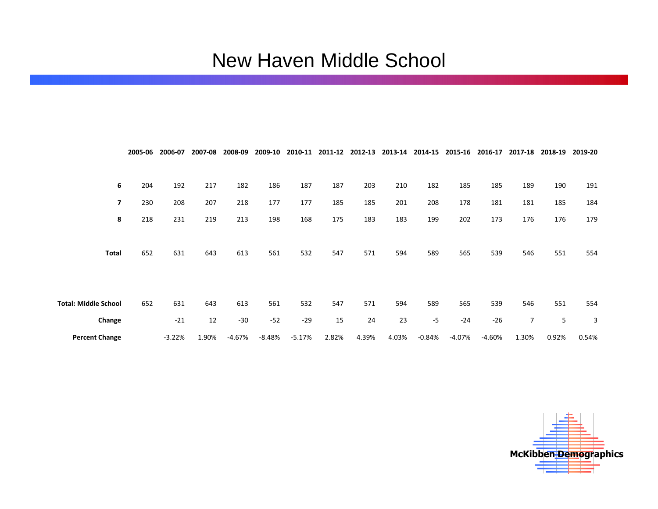#### New Haven Middle School

|                             | 2005-06 | 2006-07  | 2007-08 | 2008-09  | 2009-10  | 2010-11  |       | 2011-12 2012-13 | 2013-14 | 2014-15  | 2015-16  | 2016-17  | 2017-18        | 2018-19 | 2019-20 |
|-----------------------------|---------|----------|---------|----------|----------|----------|-------|-----------------|---------|----------|----------|----------|----------------|---------|---------|
|                             |         |          |         |          |          |          |       |                 |         |          |          |          |                |         |         |
| 6                           | 204     | 192      | 217     | 182      | 186      | 187      | 187   | 203             | 210     | 182      | 185      | 185      | 189            | 190     | 191     |
| $\overline{\phantom{a}}$    | 230     | 208      | 207     | 218      | 177      | 177      | 185   | 185             | 201     | 208      | 178      | 181      | 181            | 185     | 184     |
| 8                           | 218     | 231      | 219     | 213      | 198      | 168      | 175   | 183             | 183     | 199      | 202      | 173      | 176            | 176     | 179     |
|                             |         |          |         |          |          |          |       |                 |         |          |          |          |                |         |         |
| <b>Total</b>                | 652     | 631      | 643     | 613      | 561      | 532      | 547   | 571             | 594     | 589      | 565      | 539      | 546            | 551     | 554     |
|                             |         |          |         |          |          |          |       |                 |         |          |          |          |                |         |         |
|                             |         |          |         |          |          |          |       |                 |         |          |          |          |                |         |         |
| <b>Total: Middle School</b> | 652     | 631      | 643     | 613      | 561      | 532      | 547   | 571             | 594     | 589      | 565      | 539      | 546            | 551     | 554     |
| Change                      |         | $-21$    | 12      | $-30$    | $-52$    | $-29$    | 15    | 24              | 23      | $-5$     | $-24$    | $-26$    | $\overline{7}$ | 5       | 3       |
| <b>Percent Change</b>       |         | $-3.22%$ | 1.90%   | $-4.67%$ | $-8.48%$ | $-5.17%$ | 2.82% | 4.39%           | 4.03%   | $-0.84%$ | $-4.07%$ | $-4.60%$ | 1.30%          | 0.92%   | 0.54%   |

McKibben Demographics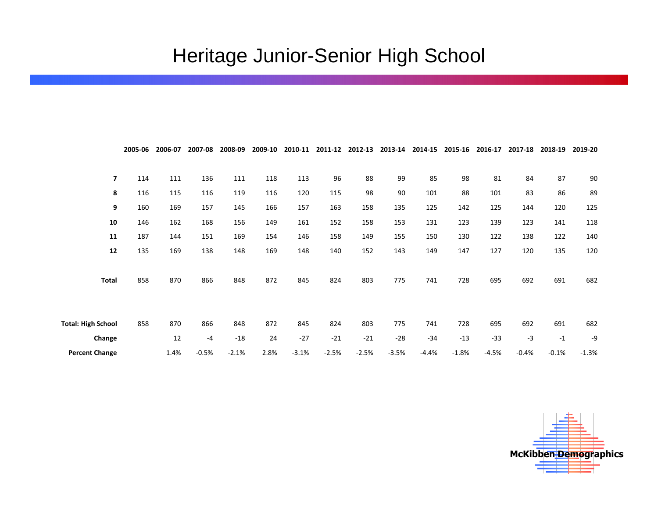# Heritage Junior-Senior High School

|                           | 2005-06 | 2006-07 | 2007-08 | 2008-09 | 2009-10 | 2010-11 | 2011-12 | 2012-13 | 2013-14 | 2014-15 | 2015-16 | 2016-17 | 2017-18 | 2018-19 | 2019-20 |
|---------------------------|---------|---------|---------|---------|---------|---------|---------|---------|---------|---------|---------|---------|---------|---------|---------|
|                           |         |         |         |         |         |         |         |         |         |         |         |         |         |         |         |
| $\overline{7}$            | 114     | 111     | 136     | 111     | 118     | 113     | 96      | 88      | 99      | 85      | 98      | 81      | 84      | 87      | 90      |
| 8                         | 116     | 115     | 116     | 119     | 116     | 120     | 115     | 98      | 90      | 101     | 88      | 101     | 83      | 86      | 89      |
| 9                         | 160     | 169     | 157     | 145     | 166     | 157     | 163     | 158     | 135     | 125     | 142     | 125     | 144     | 120     | 125     |
| 10                        | 146     | 162     | 168     | 156     | 149     | 161     | 152     | 158     | 153     | 131     | 123     | 139     | 123     | 141     | 118     |
| 11                        | 187     | 144     | 151     | 169     | 154     | 146     | 158     | 149     | 155     | 150     | 130     | 122     | 138     | 122     | 140     |
| 12                        | 135     | 169     | 138     | 148     | 169     | 148     | 140     | 152     | 143     | 149     | 147     | 127     | 120     | 135     | 120     |
|                           |         |         |         |         |         |         |         |         |         |         |         |         |         |         |         |
| Total                     | 858     | 870     | 866     | 848     | 872     | 845     | 824     | 803     | 775     | 741     | 728     | 695     | 692     | 691     | 682     |
|                           |         |         |         |         |         |         |         |         |         |         |         |         |         |         |         |
|                           |         |         |         |         |         |         |         |         |         |         |         |         |         |         |         |
| <b>Total: High School</b> | 858     | 870     | 866     | 848     | 872     | 845     | 824     | 803     | 775     | 741     | 728     | 695     | 692     | 691     | 682     |
| Change                    |         | 12      | $-4$    | $-18$   | 24      | $-27$   | $-21$   | $-21$   | $-28$   | $-34$   | $-13$   | $-33$   | $-3$    | $-1$    | -9      |
| <b>Percent Change</b>     |         | 1.4%    | $-0.5%$ | $-2.1%$ | 2.8%    | $-3.1%$ | $-2.5%$ | $-2.5%$ | $-3.5%$ | $-4.4%$ | $-1.8%$ | $-4.5%$ | $-0.4%$ | $-0.1%$ | $-1.3%$ |

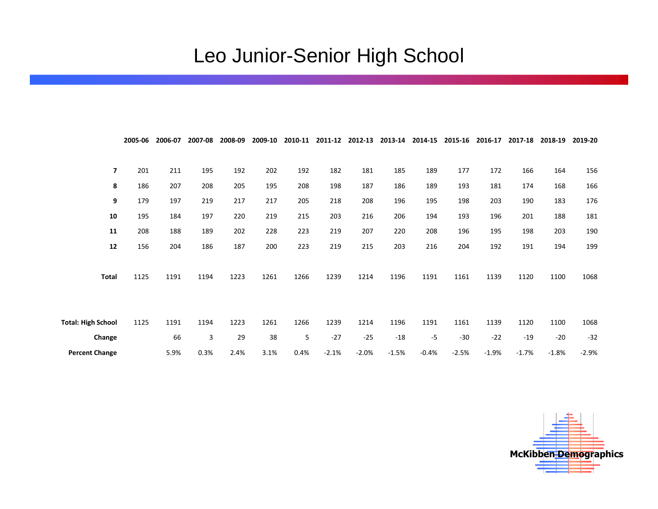# Leo Junior-Senior High School

|                           | 2005-06 | 2006-07 | 2007-08 | 2008-09 | 2009-10 | 2010-11 | 2011-12 | 2012-13 | 2013-14 | 2014-15 | 2015-16 | 2016-17 | 2017-18 | 2018-19 | 2019-20 |
|---------------------------|---------|---------|---------|---------|---------|---------|---------|---------|---------|---------|---------|---------|---------|---------|---------|
|                           |         |         |         |         |         |         |         |         |         |         |         |         |         |         |         |
| $\overline{7}$            | 201     | 211     | 195     | 192     | 202     | 192     | 182     | 181     | 185     | 189     | 177     | 172     | 166     | 164     | 156     |
| 8                         | 186     | 207     | 208     | 205     | 195     | 208     | 198     | 187     | 186     | 189     | 193     | 181     | 174     | 168     | 166     |
| 9                         | 179     | 197     | 219     | 217     | 217     | 205     | 218     | 208     | 196     | 195     | 198     | 203     | 190     | 183     | 176     |
| 10                        | 195     | 184     | 197     | 220     | 219     | 215     | 203     | 216     | 206     | 194     | 193     | 196     | 201     | 188     | 181     |
| 11                        | 208     | 188     | 189     | 202     | 228     | 223     | 219     | 207     | 220     | 208     | 196     | 195     | 198     | 203     | 190     |
| 12                        | 156     | 204     | 186     | 187     | 200     | 223     | 219     | 215     | 203     | 216     | 204     | 192     | 191     | 194     | 199     |
|                           |         |         |         |         |         |         |         |         |         |         |         |         |         |         |         |
| <b>Total</b>              | 1125    | 1191    | 1194    | 1223    | 1261    | 1266    | 1239    | 1214    | 1196    | 1191    | 1161    | 1139    | 1120    | 1100    | 1068    |
|                           |         |         |         |         |         |         |         |         |         |         |         |         |         |         |         |
|                           |         |         |         |         |         |         |         |         |         |         |         |         |         |         |         |
| <b>Total: High School</b> | 1125    | 1191    | 1194    | 1223    | 1261    | 1266    | 1239    | 1214    | 1196    | 1191    | 1161    | 1139    | 1120    | 1100    | 1068    |
| Change                    |         | 66      | 3       | 29      | 38      | 5       | $-27$   | $-25$   | $-18$   | $-5$    | $-30$   | $-22$   | $-19$   | $-20$   | $-32$   |
| <b>Percent Change</b>     |         | 5.9%    | 0.3%    | 2.4%    | 3.1%    | 0.4%    | $-2.1%$ | $-2.0%$ | $-1.5%$ | $-0.4%$ | $-2.5%$ | $-1.9%$ | $-1.7%$ | $-1.8%$ | $-2.9%$ |

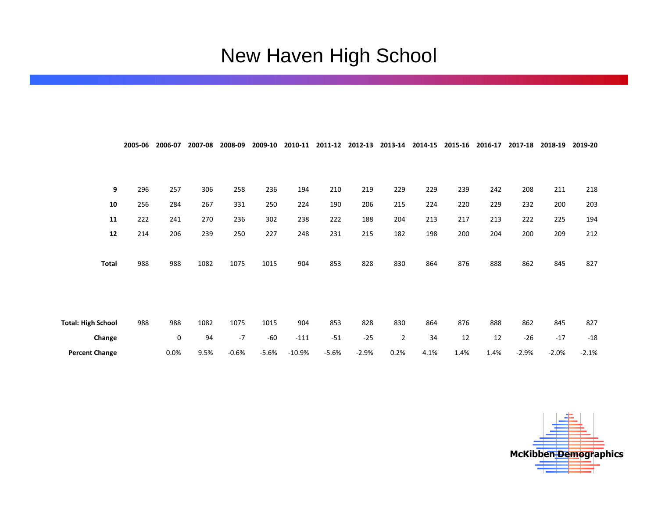# New Haven High School

|                           | 2005-06 | 2006-07 | 2007-08 | 2008-09 | 2009-10 | 2010-11  | 2011-12 | 2012-13 | 2013-14        | 2014-15 | 2015-16 | 2016-17 | 2017-18 | 2018-19 | 2019-20 |
|---------------------------|---------|---------|---------|---------|---------|----------|---------|---------|----------------|---------|---------|---------|---------|---------|---------|
|                           |         |         |         |         |         |          |         |         |                |         |         |         |         |         |         |
| 9                         | 296     | 257     | 306     | 258     | 236     | 194      | 210     | 219     | 229            | 229     | 239     | 242     | 208     | 211     | 218     |
| ${\bf 10}$                | 256     | 284     | 267     | 331     | 250     | 224      | 190     | 206     | 215            | 224     | 220     | 229     | 232     | 200     | 203     |
| 11                        | 222     | 241     | 270     | 236     | 302     | 238      | 222     | 188     | 204            | 213     | 217     | 213     | 222     | 225     | 194     |
| ${\bf 12}$                | 214     | 206     | 239     | 250     | 227     | 248      | 231     | 215     | 182            | 198     | 200     | 204     | 200     | 209     | 212     |
| Total                     | 988     | 988     | 1082    | 1075    | 1015    | 904      | 853     | 828     | 830            | 864     | 876     | 888     | 862     | 845     | 827     |
|                           |         |         |         |         |         |          |         |         |                |         |         |         |         |         |         |
| <b>Total: High School</b> | 988     | 988     | 1082    | 1075    | 1015    | 904      | 853     | 828     | 830            | 864     | 876     | 888     | 862     | 845     | 827     |
| Change                    |         | 0       | 94      | $-7$    | $-60$   | $-111$   | $-51$   | $-25$   | $\overline{2}$ | 34      | 12      | 12      | $-26$   | $-17$   | $-18$   |
| <b>Percent Change</b>     |         | 0.0%    | 9.5%    | $-0.6%$ | $-5.6%$ | $-10.9%$ | $-5.6%$ | $-2.9%$ | 0.2%           | 4.1%    | 1.4%    | 1.4%    | $-2.9%$ | $-2.0%$ | $-2.1%$ |

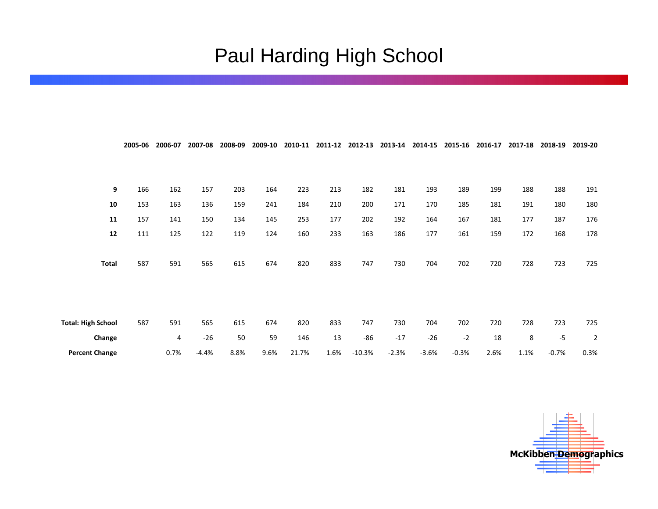#### Paul Harding High School

|                           | 2005-06 | 2006-07 | 2007-08 | 2008-09 | 2009-10 | 2010-11 | 2011-12 | 2012-13  | 2013-14 | 2014-15 | 2015-16 | 2016-17 | 2017-18 | 2018-19 | 2019-20        |
|---------------------------|---------|---------|---------|---------|---------|---------|---------|----------|---------|---------|---------|---------|---------|---------|----------------|
|                           |         |         |         |         |         |         |         |          |         |         |         |         |         |         |                |
| 9                         | 166     | 162     | 157     | 203     | 164     | 223     | 213     | 182      | 181     | 193     | 189     | 199     | 188     | 188     | 191            |
| 10                        | 153     | 163     | 136     | 159     | 241     | 184     | 210     | 200      | 171     | 170     | 185     | 181     | 191     | 180     | 180            |
| 11                        | 157     | 141     | 150     | 134     | 145     | 253     | 177     | 202      | 192     | 164     | 167     | 181     | 177     | 187     | 176            |
| ${\bf 12}$                | 111     | 125     | 122     | 119     | 124     | 160     | 233     | 163      | 186     | 177     | 161     | 159     | 172     | 168     | 178            |
| <b>Total</b>              | 587     | 591     | 565     | 615     | 674     | 820     | 833     | 747      | 730     | 704     | 702     | 720     | 728     | 723     | 725            |
| <b>Total: High School</b> | 587     | 591     | 565     | 615     | 674     | 820     | 833     | 747      | 730     | 704     | 702     | 720     | 728     | 723     | 725            |
| Change                    |         | 4       | $-26$   | 50      | 59      | 146     | 13      | $-86$    | $-17$   | $-26$   | $-2$    | 18      | 8       | $-5$    | $\overline{2}$ |
| <b>Percent Change</b>     |         | 0.7%    | $-4.4%$ | 8.8%    | 9.6%    | 21.7%   | 1.6%    | $-10.3%$ | $-2.3%$ | $-3.6%$ | $-0.3%$ | 2.6%    | 1.1%    | $-0.7%$ | 0.3%           |